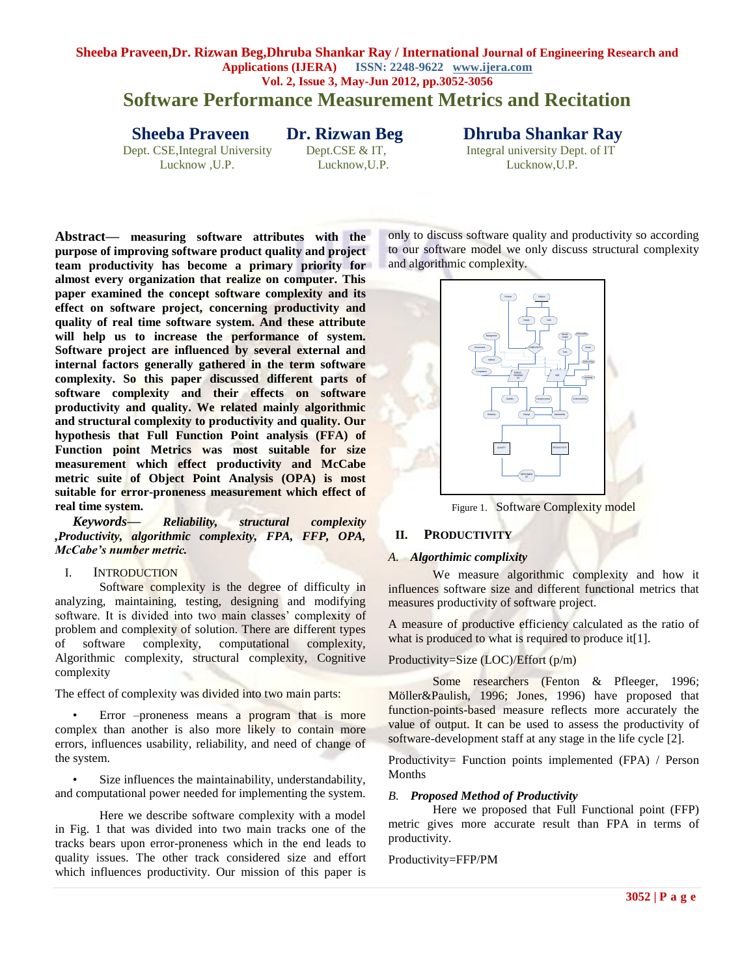# **Software Performance Measurement Metrics and Recitation**

Dept. CSE, Integral University Dept. CSE & IT,

**Sheeba Praveen Dr. Rizwan Beg Dhruba Shankar Ray**<br>
Dept. CSE, Integral University Dept. CSE & IT, Integral university Dept. of IT

Lucknow ,U.P. Lucknow,U.P. Lucknow,U.P.

**Abstract— measuring software attributes with the purpose of improving software product quality and project team productivity has become a primary priority for almost every organization that realize on computer. This paper examined the concept software complexity and its effect on software project, concerning productivity and quality of real time software system. And these attribute will help us to increase the performance of system. Software project are influenced by several external and internal factors generally gathered in the term software complexity. So this paper discussed different parts of software complexity and their effects on software productivity and quality. We related mainly algorithmic and structural complexity to productivity and quality. Our hypothesis that Full Function Point analysis (FFA) of Function point Metrics was most suitable for size measurement which effect productivity and McCabe metric suite of Object Point Analysis (OPA) is most suitable for error-proneness measurement which effect of real time system.**

*Keywords— Reliability, structural complexity ,Productivity, algorithmic complexity, FPA, FFP, OPA, McCabe's number metric.* 

#### I. INTRODUCTION

Software complexity is the degree of difficulty in analyzing, maintaining, testing, designing and modifying software. It is divided into two main classes' complexity of problem and complexity of solution. There are different types of software complexity, computational complexity, Algorithmic complexity, structural complexity, Cognitive complexity

The effect of complexity was divided into two main parts:

• Error –proneness means a program that is more complex than another is also more likely to contain more errors, influences usability, reliability, and need of change of the system.

Size influences the maintainability, understandability, and computational power needed for implementing the system.

Here we describe software complexity with a model in Fig. 1 that was divided into two main tracks one of the tracks bears upon error-proneness which in the end leads to quality issues. The other track considered size and effort which influences productivity. Our mission of this paper is

only to discuss software quality and productivity so according to our software model we only discuss structural complexity and algorithmic complexity.



Figure 1. Software Complexity model

# **II. PRODUCTIVITY**

#### *A. Algorthimic complixity*

We measure algorithmic complexity and how it influences software size and different functional metrics that measures productivity of software project.

A measure of productive efficiency calculated as the ratio of what is produced to what is required to produce it [1].

# Productivity=Size (LOC)/Effort (p/m)

Some researchers (Fenton & Pfleeger, 1996; Möller&Paulish, 1996; Jones, 1996) have proposed that function-points-based measure reflects more accurately the value of output. It can be used to assess the productivity of software-development staff at any stage in the life cycle [2].

Productivity= Function points implemented (FPA) / Person Months

# *B. Proposed Method of Productivity*

Here we proposed that Full Functional point (FFP) metric gives more accurate result than FPA in terms of productivity.

Productivity=FFP/PM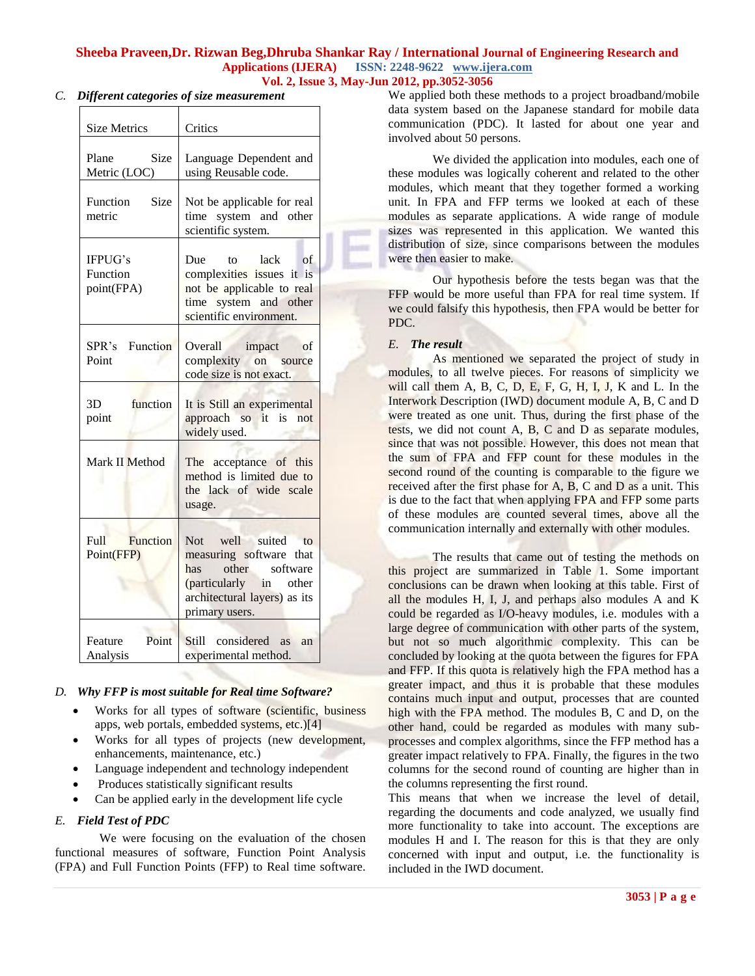#### *C. Different categories of size measurement*

| <b>Size Metrics</b>               | Critics                                                                                                                                                        |  |  |
|-----------------------------------|----------------------------------------------------------------------------------------------------------------------------------------------------------------|--|--|
| Size<br>Plane<br>Metric (LOC)     | Language Dependent and<br>using Reusable code.                                                                                                                 |  |  |
| Function<br>Size<br>metric        | Not be applicable for real<br>system and other<br>time<br>scientific system.                                                                                   |  |  |
| IFPUG's<br>Function<br>point(FPA) | lack<br>Due<br>of<br>to<br>complexities issues it is<br>not be applicable to real<br>time system and other<br>scientific environment.                          |  |  |
| Function<br>SPR's<br>Point        | Overall<br>impact<br>of<br>complexity on<br>source<br>code size is not exact.                                                                                  |  |  |
| function<br>3D<br>point           | It is Still an experimental<br>approach so it is not<br>widely used.                                                                                           |  |  |
| Mark II Method                    | The acceptance of this<br>method is limited due to<br>the lack of wide scale<br>usage.                                                                         |  |  |
| Function<br>Full<br>Point(FFP)    | Not<br>well suited<br>to<br>measuring software<br>that<br>other<br>software<br>has<br>(particularly in other<br>architectural layers) as its<br>primary users. |  |  |
| Point<br>Feature<br>Analysis      | Still –<br>considered<br><b>as</b><br>an<br>experimental method.                                                                                               |  |  |

# *D. Why FFP is most suitable for Real time Software?*

- Works for all types of software (scientific, business apps, web portals, embedded systems, etc.)[4]
- Works for all types of projects (new development, enhancements, maintenance, etc.)
- Language independent and technology independent
- Produces statistically significant results
- Can be applied early in the development life cycle

# *E. Field Test of PDC*

We were focusing on the evaluation of the chosen functional measures of software, Function Point Analysis (FPA) and Full Function Points (FFP) to Real time software.

We applied both these methods to a project broadband/mobile data system based on the Japanese standard for mobile data communication (PDC). It lasted for about one year and involved about 50 persons.

We divided the application into modules, each one of these modules was logically coherent and related to the other modules, which meant that they together formed a working unit. In FPA and FFP terms we looked at each of these modules as separate applications. A wide range of module sizes was represented in this application. We wanted this distribution of size, since comparisons between the modules were then easier to make.

Our hypothesis before the tests began was that the FFP would be more useful than FPA for real time system. If we could falsify this hypothesis, then FPA would be better for PDC.

# *E. The result*

As mentioned we separated the project of study in modules, to all twelve pieces. For reasons of simplicity we will call them A, B, C, D, E, F, G, H, I, J, K and L. In the Interwork Description (IWD) document module A, B, C and D were treated as one unit. Thus, during the first phase of the tests, we did not count A, B, C and D as separate modules, since that was not possible. However, this does not mean that the sum of FPA and FFP count for these modules in the second round of the counting is comparable to the figure we received after the first phase for A, B, C and D as a unit. This is due to the fact that when applying FPA and FFP some parts of these modules are counted several times, above all the communication internally and externally with other modules.

The results that came out of testing the methods on this project are summarized in Table 1. Some important conclusions can be drawn when looking at this table. First of all the modules H, I, J, and perhaps also modules A and K could be regarded as I/O-heavy modules, i.e. modules with a large degree of communication with other parts of the system, but not so much algorithmic complexity. This can be concluded by looking at the quota between the figures for FPA and FFP. If this quota is relatively high the FPA method has a greater impact, and thus it is probable that these modules contains much input and output, processes that are counted high with the FPA method. The modules B, C and D, on the other hand, could be regarded as modules with many subprocesses and complex algorithms, since the FFP method has a greater impact relatively to FPA. Finally, the figures in the two columns for the second round of counting are higher than in the columns representing the first round.

This means that when we increase the level of detail, regarding the documents and code analyzed, we usually find more functionality to take into account. The exceptions are modules H and I. The reason for this is that they are only concerned with input and output, i.e. the functionality is included in the IWD document.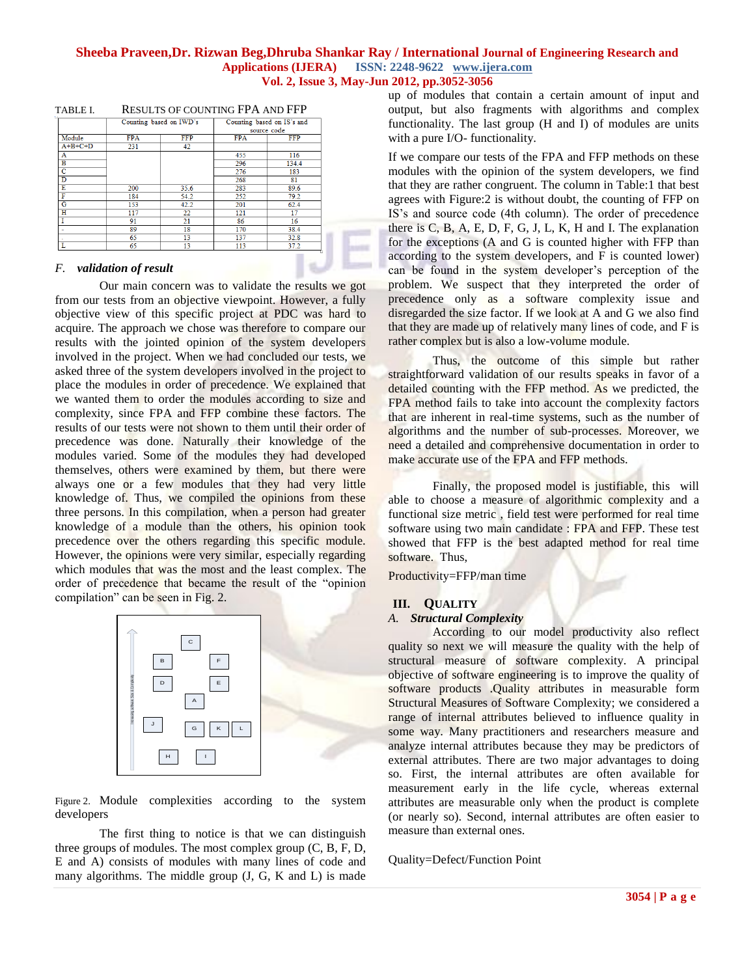|           | Counting based on IWD's |            | Counting based on IS's and<br>source code |            |
|-----------|-------------------------|------------|-------------------------------------------|------------|
|           |                         |            |                                           |            |
| Module    | <b>FPA</b>              | <b>FFP</b> | <b>FPA</b>                                | <b>FFP</b> |
| $A+B+C+D$ | 231                     | 42         |                                           |            |
| A         |                         |            | 455                                       | 116        |
| в         |                         |            | 296                                       | 134.4      |
| c         |                         |            | 276                                       | 183        |
| D         |                         |            | 268                                       | 81         |
| E         | 200                     | 35.6       | 283                                       | 89.6       |
| F         | 184                     | 54.2       | 252                                       | 79.2       |
| G         | 153                     | 42.2       | 201                                       | 62.4       |
| н         | 117                     | 22         | 121                                       | 17         |
|           | 91                      | 21         | 86                                        | 16         |
|           | 89                      | 18         | 170                                       | 38.4       |
|           | 65                      | 13         | 137                                       | 32.8       |
| L         | 65                      | 13         | 113                                       | 37.2       |

### TABLE I. RESULTS OF COUNTING FPA AND FFP

#### *F. validation of result*

Our main concern was to validate the results we got from our tests from an objective viewpoint. However, a fully objective view of this specific project at PDC was hard to acquire. The approach we chose was therefore to compare our results with the jointed opinion of the system developers involved in the project. When we had concluded our tests, we asked three of the system developers involved in the project to place the modules in order of precedence. We explained that we wanted them to order the modules according to size and complexity, since FPA and FFP combine these factors. The results of our tests were not shown to them until their order of precedence was done. Naturally their knowledge of the modules varied. Some of the modules they had developed themselves, others were examined by them, but there were always one or a few modules that they had very little knowledge of. Thus, we compiled the opinions from these three persons. In this compilation, when a person had greater knowledge of a module than the others, his opinion took precedence over the others regarding this specific module. However, the opinions were very similar, especially regarding which modules that was the most and the least complex. The order of precedence that became the result of the "opinion" compilation" can be seen in Fig. 2.



Figure 2. Module complexities according to the system developers

The first thing to notice is that we can distinguish three groups of modules. The most complex group (C, B, F, D, E and A) consists of modules with many lines of code and many algorithms. The middle group (J, G, K and L) is made

up of modules that contain a certain amount of input and output, but also fragments with algorithms and complex functionality. The last group (H and I) of modules are units with a pure I/O- functionality.

If we compare our tests of the FPA and FFP methods on these modules with the opinion of the system developers, we find that they are rather congruent. The column in Table:1 that best agrees with Figure:2 is without doubt, the counting of FFP on IS"s and source code (4th column). The order of precedence there is C, B, A, E, D, F, G, J, L, K, H and I. The explanation for the exceptions (A and G is counted higher with FFP than according to the system developers, and F is counted lower) can be found in the system developer"s perception of the problem. We suspect that they interpreted the order of precedence only as a software complexity issue and disregarded the size factor. If we look at A and G we also find that they are made up of relatively many lines of code, and F is rather complex but is also a low-volume module.

Thus, the outcome of this simple but rather straightforward validation of our results speaks in favor of a detailed counting with the FFP method. As we predicted, the FPA method fails to take into account the complexity factors that are inherent in real-time systems, such as the number of algorithms and the number of sub-processes. Moreover, we need a detailed and comprehensive documentation in order to make accurate use of the FPA and FFP methods.

Finally, the proposed model is justifiable, this will able to choose a measure of algorithmic complexity and a functional size metric , field test were performed for real time software using two main candidate : FPA and FFP. These test showed that FFP is the best adapted method for real time software. Thus,

Productivity=FFP/man time

# **III. QUALITY**

# *A. Structural Complexity*

**3 1 3054** [P a g equality so next we will measure the quality with the help of structural measure of software complexity. A principal objective of software equality and software equality and software equality and sof According to our model productivity also reflect quality so next we will measure the quality with the help of structural measure of software complexity. A principal objective of software engineering is to improve the quality of software products .Quality attributes in measurable form Structural Measures of Software Complexity; we considered a range of internal attributes believed to influence quality in some way. Many practitioners and researchers measure and analyze internal attributes because they may be predictors of external attributes. There are two major advantages to doing so. First, the internal attributes are often available for measurement early in the life cycle, whereas external attributes are measurable only when the product is complete (or nearly so). Second, internal attributes are often easier to measure than external ones.

Quality=Defect/Function Point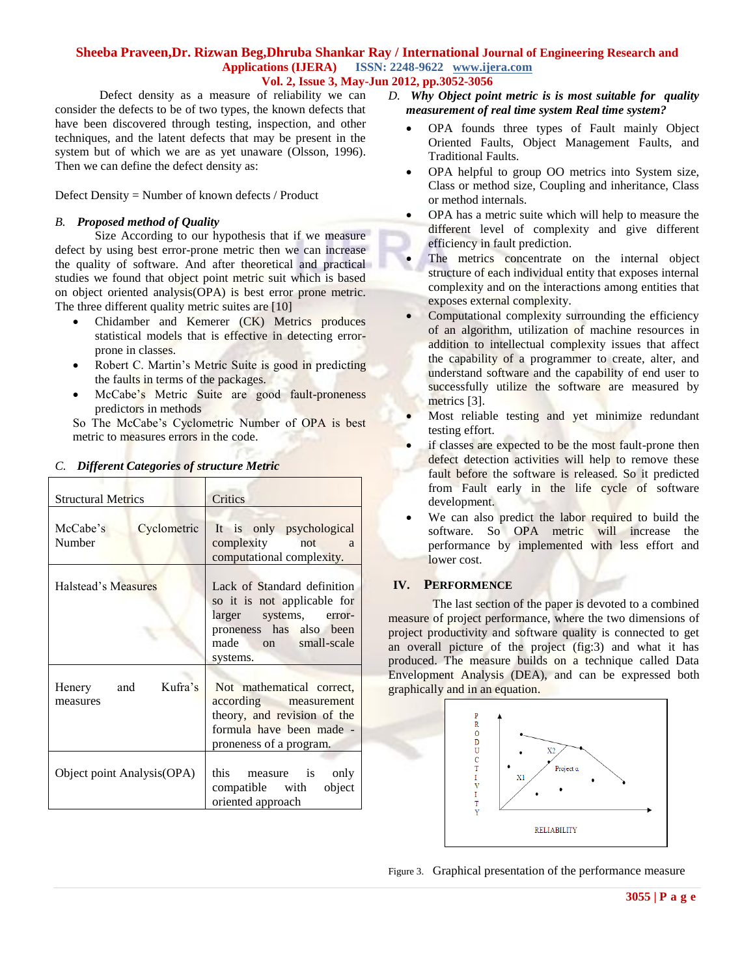Defect density as a measure of reliability we can consider the defects to be of two types, the known defects that have been discovered through testing, inspection, and other techniques, and the latent defects that may be present in the system but of which we are as yet unaware (Olsson, 1996). Then we can define the defect density as:

Defect Density = Number of known defects / Product

### *B. Proposed method of Quality*

Size According to our hypothesis that if we measure defect by using best error-prone metric then we can increase the quality of software. And after theoretical and practical studies we found that object point metric suit which is based on object oriented analysis(OPA) is best error prone metric. The three different quality metric suites are [10]

- Chidamber and Kemerer (CK) Metrics produces statistical models that is effective in detecting errorprone in classes.
- Robert C. Martin's Metric Suite is good in predicting the faults in terms of the packages.
- McCabe's Metric Suite are good fault-proneness predictors in methods

So The McCabe's Cyclometric Number of OPA is best metric to measures errors in the code.

| <b>Structural Metrics</b>         | Critics                                                                                                                                            |  |
|-----------------------------------|----------------------------------------------------------------------------------------------------------------------------------------------------|--|
| McCabe's<br>Cyclometric<br>Number | It is only psychological<br>complexity not a<br>computational complexity.                                                                          |  |
| Halstead's Measures               | Lack of Standard definition<br>so it is not applicable for<br>larger systems, error-<br>proneness has also been<br>made on small-scale<br>systems. |  |
| Henery and Kufra's<br>measures    | Not mathematical correct,<br>according measurement<br>theory, and revision of the<br>formula have been made -<br>proneness of a program.           |  |
| Object point Analysis (OPA)       | this<br>measure is<br>only<br>compatible with<br>object<br>oriented approach                                                                       |  |

# *C. Different Categories of structure Metric*

- *D. Why Object point metric is is most suitable for quality measurement of real time system Real time system?*
	- OPA founds three types of Fault mainly Object Oriented Faults, Object Management Faults, and Traditional Faults.
	- OPA helpful to group OO metrics into System size, Class or method size, Coupling and inheritance, Class or method internals.
	- OPA has a metric suite which will help to measure the different level of complexity and give different efficiency in fault prediction.
	- The metrics concentrate on the internal object structure of each individual entity that exposes internal complexity and on the interactions among entities that exposes external complexity.
	- Computational complexity surrounding the efficiency of an algorithm, utilization of machine resources in addition to intellectual complexity issues that affect the capability of a programmer to create, alter, and understand software and the capability of end user to successfully utilize the software are measured by metrics [3].
	- Most reliable testing and yet minimize redundant testing effort.
	- if classes are expected to be the most fault-prone then defect detection activities will help to remove these fault before the software is released. So it predicted from Fault early in the life cycle of software development.
	- We can also predict the labor required to build the software. So OPA metric will increase the performance by implemented with less effort and lower cost.

# **IV. PERFORMENCE**

The last section of the paper is devoted to a combined measure of project performance, where the two dimensions of project productivity and software quality is connected to get an overall picture of the project (fig:3) and what it has produced. The measure builds on a technique called Data Envelopment Analysis (DEA), and can be expressed both graphically and in an equation.



Figure 3. Graphical presentation of the performance measure